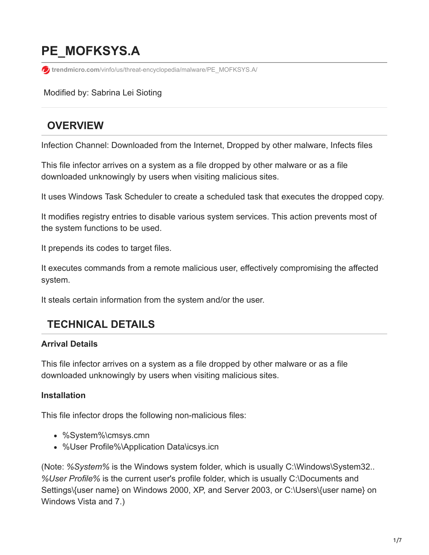# **PE\_MOFKSYS.A**

**trendmicro.com**[/vinfo/us/threat-encyclopedia/malware/PE\\_MOFKSYS.A/](https://www.trendmicro.com/vinfo/us/threat-encyclopedia/malware/PE_MOFKSYS.A/)

Modified by: Sabrina Lei Sioting

# **OVERVIEW**

Infection Channel: Downloaded from the Internet, Dropped by other malware, Infects files

This file infector arrives on a system as a file dropped by other malware or as a file downloaded unknowingly by users when visiting malicious sites.

It uses Windows Task Scheduler to create a scheduled task that executes the dropped copy.

It modifies registry entries to disable various system services. This action prevents most of the system functions to be used.

It prepends its codes to target files.

It executes commands from a remote malicious user, effectively compromising the affected system.

It steals certain information from the system and/or the user.

# **TECHNICAL DETAILS**

#### **Arrival Details**

This file infector arrives on a system as a file dropped by other malware or as a file downloaded unknowingly by users when visiting malicious sites.

#### **Installation**

This file infector drops the following non-malicious files:

- %System%\cmsys.cmn
- %User Profile%\Application Data\icsys.icn

(Note: *%System%* is the Windows system folder, which is usually C:\Windows\System32.. *%User Profile%* is the current user's profile folder, which is usually C:\Documents and Settings\{user name} on Windows 2000, XP, and Server 2003, or C:\Users\{user name} on Windows Vista and 7.)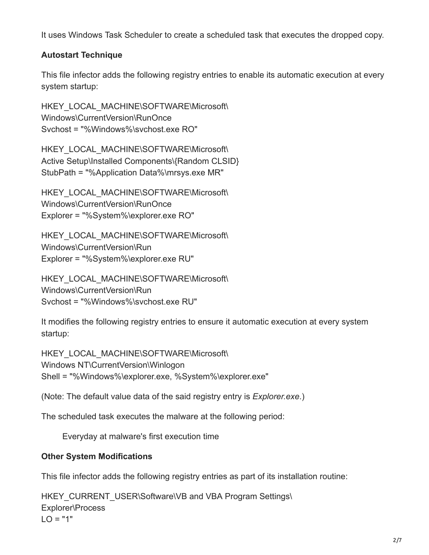It uses Windows Task Scheduler to create a scheduled task that executes the dropped copy.

#### **Autostart Technique**

This file infector adds the following registry entries to enable its automatic execution at every system startup:

HKEY\_LOCAL\_MACHINE\SOFTWARE\Microsoft\ Windows\CurrentVersion\RunOnce Svchost = "%Windows%\svchost.exe RO"

HKEY\_LOCAL\_MACHINE\SOFTWARE\Microsoft\ Active Setup\Installed Components\{Random CLSID} StubPath = "%Application Data%\mrsys.exe MR"

HKEY\_LOCAL\_MACHINE\SOFTWARE\Microsoft\ Windows\CurrentVersion\RunOnce Explorer = "%System%\explorer.exe RO"

HKEY\_LOCAL\_MACHINE\SOFTWARE\Microsoft\ Windows\CurrentVersion\Run Explorer = "%System%\explorer.exe RU"

HKEY\_LOCAL\_MACHINE\SOFTWARE\Microsoft\ Windows\CurrentVersion\Run Svchost = "%Windows%\svchost.exe RU"

It modifies the following registry entries to ensure it automatic execution at every system startup:

HKEY\_LOCAL\_MACHINE\SOFTWARE\Microsoft\ Windows NT\CurrentVersion\Winlogon Shell = "%Windows%\explorer.exe, %System%\explorer.exe"

(Note: The default value data of the said registry entry is *Explorer.exe*.)

The scheduled task executes the malware at the following period:

Everyday at malware's first execution time

#### **Other System Modifications**

This file infector adds the following registry entries as part of its installation routine:

HKEY\_CURRENT\_USER\Software\VB and VBA Program Settings\ Explorer\Process  $LO = "1"$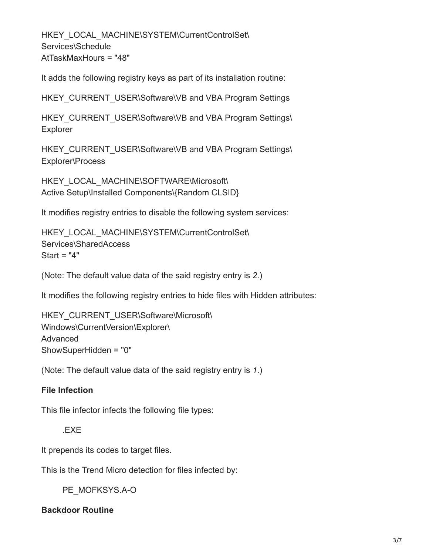HKEY\_LOCAL\_MACHINE\SYSTEM\CurrentControlSet\ Services\Schedule AtTaskMaxHours = "48"

It adds the following registry keys as part of its installation routine:

HKEY\_CURRENT\_USER\Software\VB and VBA Program Settings

HKEY\_CURRENT\_USER\Software\VB and VBA Program Settings\ Explorer

HKEY\_CURRENT\_USER\Software\VB and VBA Program Settings\ Explorer\Process

HKEY\_LOCAL\_MACHINE\SOFTWARE\Microsoft\ Active Setup\Installed Components\{Random CLSID}

It modifies registry entries to disable the following system services:

HKEY\_LOCAL\_MACHINE\SYSTEM\CurrentControlSet\ Services\SharedAccess Start = "4"

(Note: The default value data of the said registry entry is *2*.)

It modifies the following registry entries to hide files with Hidden attributes:

HKEY\_CURRENT\_USER\Software\Microsoft\ Windows\CurrentVersion\Explorer\ Advanced ShowSuperHidden = "0"

(Note: The default value data of the said registry entry is *1*.)

#### **File Infection**

This file infector infects the following file types:

.EXE

It prepends its codes to target files.

This is the Trend Micro detection for files infected by:

PE\_MOFKSYS.A-O

**Backdoor Routine**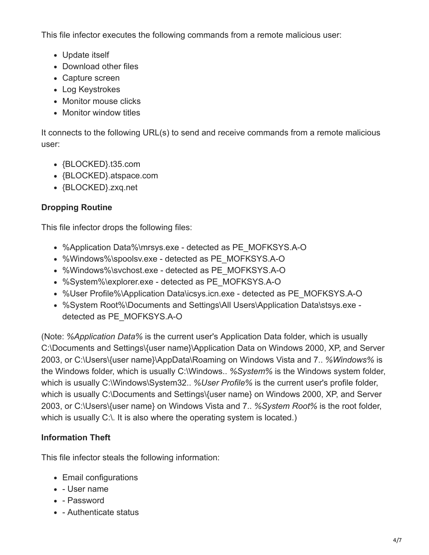This file infector executes the following commands from a remote malicious user:

- Update itself
- Download other files
- Capture screen
- Log Keystrokes
- Monitor mouse clicks
- Monitor window titles

It connects to the following URL(s) to send and receive commands from a remote malicious user:

- {BLOCKED}.t35.com
- {BLOCKED}.atspace.com
- {BLOCKED}.zxq.net

#### **Dropping Routine**

This file infector drops the following files:

- %Application Data%\mrsys.exe detected as PE\_MOFKSYS.A-O
- %Windows%\spoolsv.exe detected as PE\_MOFKSYS.A-O
- %Windows%\svchost.exe detected as PE\_MOFKSYS.A-O
- %System%\explorer.exe detected as PE\_MOFKSYS.A-O
- %User Profile%\Application Data\icsys.icn.exe detected as PE\_MOFKSYS.A-O
- %System Root%\Documents and Settings\All Users\Application Data\stsys.exe detected as PE\_MOFKSYS.A-O

(Note: *%Application Data%* is the current user's Application Data folder, which is usually C:\Documents and Settings\{user name}\Application Data on Windows 2000, XP, and Server 2003, or C:\Users\{user name}\AppData\Roaming on Windows Vista and 7.. *%Windows%* is the Windows folder, which is usually C:\Windows.. *%System%* is the Windows system folder, which is usually C:\Windows\System32.. *%User Profile%* is the current user's profile folder, which is usually C:\Documents and Settings\{user name} on Windows 2000, XP, and Server 2003, or C:\Users\{user name} on Windows Vista and 7.. *%System Root%* is the root folder, which is usually C:\. It is also where the operating system is located.)

#### **Information Theft**

This file infector steals the following information:

- Email configurations
- User name
- Password
- - Authenticate status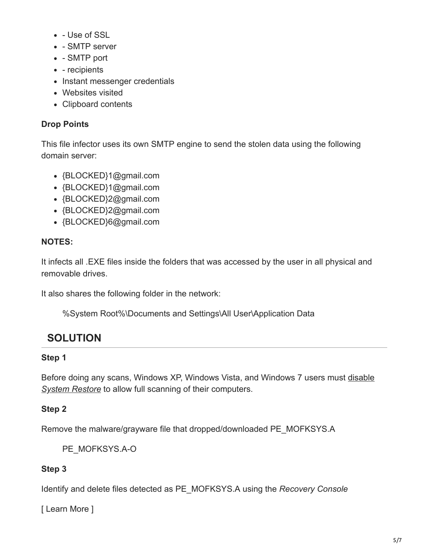- Use of SSL
- - SMTP server
- - SMTP port
- - recipients
- Instant messenger credentials
- Websites visited
- Clipboard contents

#### **Drop Points**

This file infector uses its own SMTP engine to send the stolen data using the following domain server:

- {BLOCKED}1@gmail.com
- {BLOCKED}1@gmail.com
- {BLOCKED}2@gmail.com
- {BLOCKED}2@gmail.com
- {BLOCKED}6@gmail.com

#### **NOTES:**

It infects all .EXE files inside the folders that was accessed by the user in all physical and removable drives.

It also shares the following folder in the network:

%System Root%\Documents and Settings\All User\Application Data

# **SOLUTION**

#### **Step 1**

[Before doing any scans, Windows XP, Windows Vista, and Windows 7 users must disable](https://www.trendmicro.com/vinfo/us/security/definition/system-restore) *System Restore* to allow full scanning of their computers.

## **Step 2**

Remove the malware/grayware file that dropped/downloaded PE\_MOFKSYS.A

PE\_MOFKSYS.A-O

## **Step 3**

Identify and delete files detected as PE\_MOFKSYS.A using the *Recovery Console*

[ Learn More ]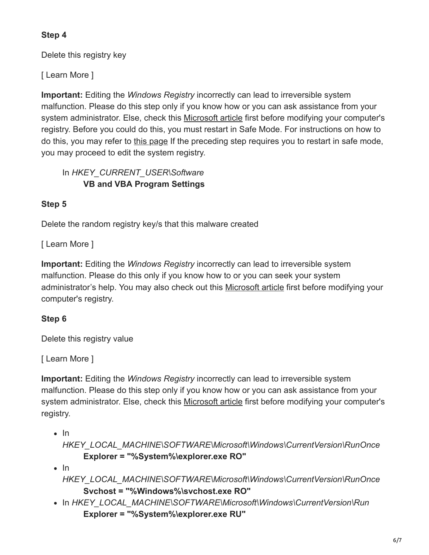#### **Step 4**

Delete this registry key

[ Learn More ]

**Important:** Editing the *Windows Registry* incorrectly can lead to irreversible system malfunction. Please do this step only if you know how or you can ask assistance from your system administrator. Else, check this [Microsoft article](http://support.microsoft.com/kb/256986/EN-US/) first before modifying your computer's registry. Before you could do this, you must restart in Safe Mode. For instructions on how to do this, you may refer to [this page](https://www.trendmicro.com/vinfo/us/security/definition/safe-mode) If the preceding step requires you to restart in safe mode, you may proceed to edit the system registry.

In *HKEY\_CURRENT\_USER\Software* **VB and VBA Program Settings**

#### **Step 5**

Delete the random registry key/s that this malware created

[ Learn More ]

**Important:** Editing the *Windows Registry* incorrectly can lead to irreversible system malfunction. Please do this only if you know how to or you can seek your system administrator's help. You may also check out this Microsoft article first before modifying your computer's registry.

## **Step 6**

Delete this registry value

[ Learn More ]

**Important:** Editing the *Windows Registry* incorrectly can lead to irreversible system malfunction. Please do this step only if you know how or you can ask assistance from your system administrator. Else, check this [Microsoft article](http://support.microsoft.com/kb/256986/EN-US/) first before modifying your computer's registry.

 $\cdot$  In

*HKEY\_LOCAL\_MACHINE\SOFTWARE\Microsoft\Windows\CurrentVersion\RunOnce* **Explorer = "%System%\explorer.exe RO"**

 $\cdot$  In

*HKEY\_LOCAL\_MACHINE\SOFTWARE\Microsoft\Windows\CurrentVersion\RunOnce* **Svchost = "%Windows%\svchost.exe RO"**

In *HKEY\_LOCAL\_MACHINE\SOFTWARE\Microsoft\Windows\CurrentVersion\Run* **Explorer = "%System%\explorer.exe RU"**